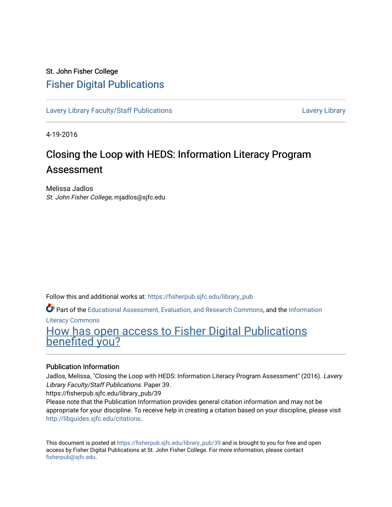#### St. John Fisher College [Fisher Digital Publications](https://fisherpub.sjfc.edu/)

[Lavery Library Faculty/Staff Publications](https://fisherpub.sjfc.edu/library_pub) [Lavery Library](https://fisherpub.sjfc.edu/library) Lavery Library

4-19-2016

#### Closing the Loop with HEDS: Information Literacy Program Assessment

Melissa Jadlos St. John Fisher College, mjadlos@sjfc.edu

Follow this and additional works at: [https://fisherpub.sjfc.edu/library\\_pub](https://fisherpub.sjfc.edu/library_pub?utm_source=fisherpub.sjfc.edu%2Flibrary_pub%2F39&utm_medium=PDF&utm_campaign=PDFCoverPages)

Part of the [Educational Assessment, Evaluation, and Research Commons](http://network.bepress.com/hgg/discipline/796?utm_source=fisherpub.sjfc.edu%2Flibrary_pub%2F39&utm_medium=PDF&utm_campaign=PDFCoverPages), and the [Information](http://network.bepress.com/hgg/discipline/1243?utm_source=fisherpub.sjfc.edu%2Flibrary_pub%2F39&utm_medium=PDF&utm_campaign=PDFCoverPages)

[Literacy Commons](http://network.bepress.com/hgg/discipline/1243?utm_source=fisherpub.sjfc.edu%2Flibrary_pub%2F39&utm_medium=PDF&utm_campaign=PDFCoverPages) 

[How has open access to Fisher Digital Publications](https://docs.google.com/forms/d/14zrnDfH9d1wcdq8oG_-gFabAsxfcH5claltx85ZWyTg/viewform?entry.1394608989=https://fisherpub.sjfc.edu/library_pub/39%3Chttps://docs.google.com/forms/d/14zrnDfH9d1wcdq8oG_-gFabAsxfcH5claltx85ZWyTg/viewform?entry.1394608989=%7bhttps://fisherpub.sjfc.edu/library_pub/39%7d) [benefited you?](https://docs.google.com/forms/d/14zrnDfH9d1wcdq8oG_-gFabAsxfcH5claltx85ZWyTg/viewform?entry.1394608989=https://fisherpub.sjfc.edu/library_pub/39%3Chttps://docs.google.com/forms/d/14zrnDfH9d1wcdq8oG_-gFabAsxfcH5claltx85ZWyTg/viewform?entry.1394608989=%7bhttps://fisherpub.sjfc.edu/library_pub/39%7d)

#### Publication Information

Jadlos, Melissa, "Closing the Loop with HEDS: Information Literacy Program Assessment" (2016). Lavery Library Faculty/Staff Publications. Paper 39.

https://fisherpub.sjfc.edu/library\_pub/39

Please note that the Publication Information provides general citation information and may not be appropriate for your discipline. To receive help in creating a citation based on your discipline, please visit [http://libguides.sjfc.edu/citations.](http://libguides.sjfc.edu/citations)

This document is posted at [https://fisherpub.sjfc.edu/library\\_pub/39](https://fisherpub.sjfc.edu/library_pub/39) and is brought to you for free and open access by Fisher Digital Publications at St. John Fisher College. For more information, please contact [fisherpub@sjfc.edu](mailto:fisherpub@sjfc.edu).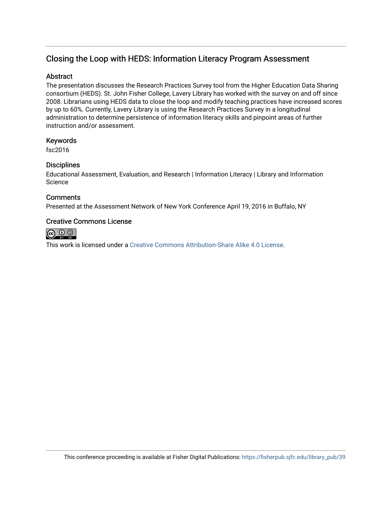#### Closing the Loop with HEDS: Information Literacy Program Assessment

#### **Abstract**

The presentation discusses the Research Practices Survey tool from the Higher Education Data Sharing consortium (HEDS). St. John Fisher College, Lavery Library has worked with the survey on and off since 2008. Librarians using HEDS data to close the loop and modify teaching practices have increased scores by up to 60%. Currently, Lavery Library is using the Research Practices Survey in a longitudinal administration to determine persistence of information literacy skills and pinpoint areas of further instruction and/or assessment.

#### Keywords

fsc2016

#### **Disciplines**

Educational Assessment, Evaluation, and Research | Information Literacy | Library and Information Science

#### **Comments**

Presented at the Assessment Network of New York Conference April 19, 2016 in Buffalo, NY

#### Creative Commons License



This work is licensed under a [Creative Commons Attribution-Share Alike 4.0 License.](https://creativecommons.org/licenses/by-sa/4.0/)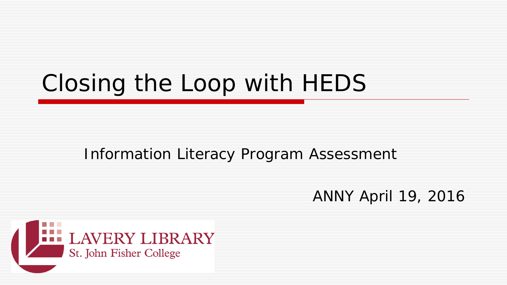# Closing the Loop with HEDS

### Information Literacy Program Assessment

### ANNY April 19, 2016

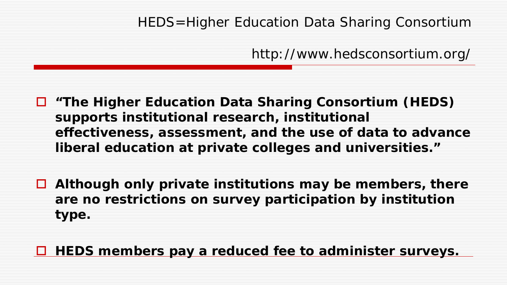#### HEDS=Higher Education Data Sharing Consortium

http://www.hedsconsortium.org/

 **"The Higher Education Data Sharing Consortium (HEDS) supports institutional research, institutional effectiveness, assessment, and the use of data to advance liberal education at private colleges and universities."**

 **Although only private institutions may be members, there are no restrictions on survey participation by institution type.**

#### **HEDS members pay a reduced fee to administer surveys.**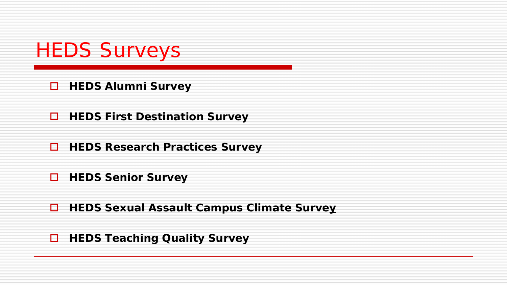

*HEDS Alumni Survey*

*HEDS First Destination Survey*

*HEDS Research Practices Survey*

*HEDS Senior Survey*

*HEDS Sexual Assault Campus Climate Survey*

*HEDS Teaching Quality Survey*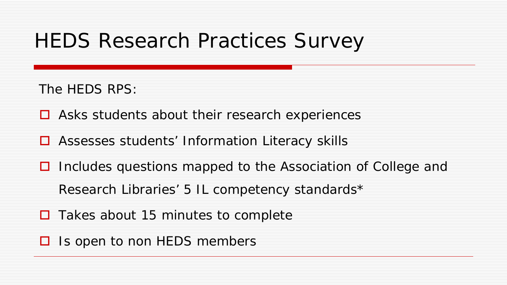# HEDS Research Practices Survey

The HEDS RPS:

 $\Box$  Asks students about their research experiences

- **□** Assesses students' Information Literacy skills
- $\Box$  Includes questions mapped to the Association of College and Research Libraries' 5 IL competency standards\*
- $\Box$  Takes about 15 minutes to complete
- $\Box$  Is open to non HEDS members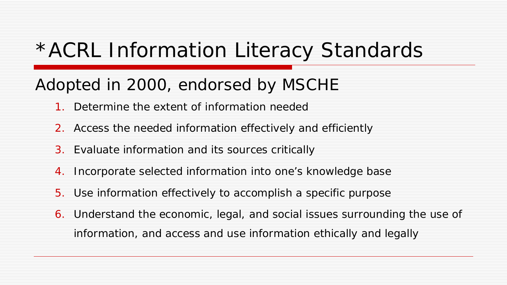## \*ACRL Information Literacy Standards

### Adopted in 2000, endorsed by MSCHE

- Determine the extent of information needed
- 2. Access the needed information effectively and efficiently
- 3. Evaluate information and its sources critically
- 4. Incorporate selected information into one's knowledge base
- 5. Use information effectively to accomplish a specific purpose
- 6. Understand the economic, legal, and social issues surrounding the use of information, and access and use information ethically and legally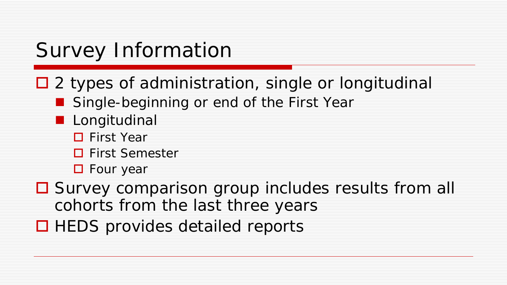# Survey Information

- $\Box$  2 types of administration, single or longitudinal
	- Single-beginning or end of the First Year
	- **Longitudinal** 
		- **□** First Year
		- **□** First Semester
		- **D** Four year
- Survey comparison group includes results from all cohorts from the last three years
- $\Box$  HEDS provides detailed reports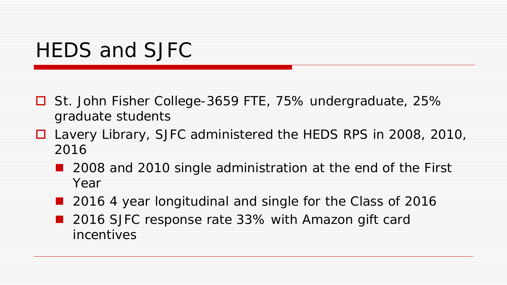## HEDS and SJFC

- St. John Fisher College-3659 FTE, 75% undergraduate, 25% graduate students
- Lavery Library, SJFC administered the HEDS RPS in 2008, 2010, 2016
	- 2008 and 2010 single administration at the end of the First Year
	- 2016 4 year longitudinal and single for the Class of 2016
	- 2016 SJFC response rate 33% with Amazon gift card incentives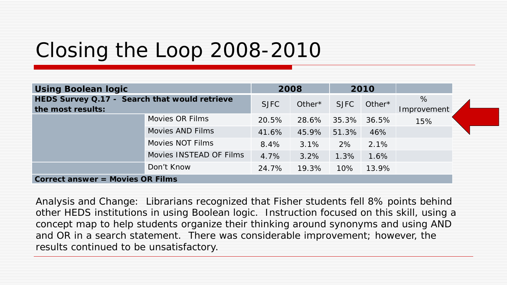# Closing the Loop 2008-2010

| <b>Using Boolean logic</b>                                         |                         | 2008        |           | 2010            |              |                  |  |
|--------------------------------------------------------------------|-------------------------|-------------|-----------|-----------------|--------------|------------------|--|
| HEDS Survey Q.17 - Search that would retrieve<br>the most results: |                         | <b>SJFC</b> | Other $*$ | <b>SJFC</b>     | Other*       | %<br>Improvement |  |
|                                                                    | <b>Movies OR Films</b>  | 20.5%       | 28.6%     | $35.3\%$        | 36.5%        | 15%              |  |
|                                                                    | Movies AND Films        | 41.6%       | 45.9%     | 51.3%           | 46%          |                  |  |
|                                                                    | <b>Movies NOT Films</b> | 8.4%        |           | $3.1\%$ 2% 2.1% |              |                  |  |
|                                                                    | Movies INSTEAD OF Films | 4.7%        | 3.2%      | $1.3\%$         | 1.6%         |                  |  |
|                                                                    | Don't Know              | 24.7%       | 19.3%     |                 | $10\%$ 13.9% |                  |  |
| <b>Correct answer = Movies OR Films</b>                            |                         |             |           |                 |              |                  |  |

Analysis and Change: Librarians recognized that Fisher students fell 8% points behind other HEDS institutions in using Boolean logic. Instruction focused on this skill, using a concept map to help students organize their thinking around synonyms and using AND and OR in a search statement. There was considerable improvement; however, the results continued to be unsatisfactory.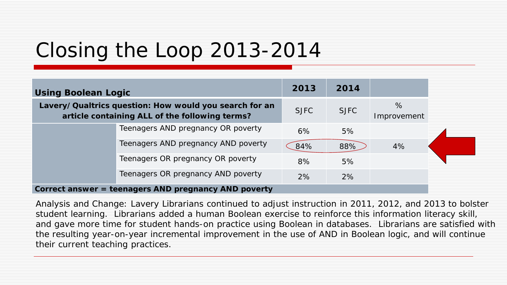# Closing the Loop 2013-2014

| <b>Using Boolean Logic</b>                                                                               |                                     | 2013        | 2014        |                     |  |
|----------------------------------------------------------------------------------------------------------|-------------------------------------|-------------|-------------|---------------------|--|
| Lavery/Qualtrics question: How would you search for an<br>article containing ALL of the following terms? |                                     | <b>SJFC</b> | <b>SJFC</b> | $\%$<br>Improvement |  |
|                                                                                                          | Teenagers AND pregnancy OR poverty  | 6%          | 5%          |                     |  |
|                                                                                                          | Teenagers AND pregnancy AND poverty | 84%         | 88%         | 4%                  |  |
|                                                                                                          | Teenagers OR pregnancy OR poverty   | 8%          | 5%          |                     |  |
|                                                                                                          | Teenagers OR pregnancy AND poverty  | 2%          | 2%          |                     |  |
| Correct answer = teenagers AND pregnancy AND poverty                                                     |                                     |             |             |                     |  |

#### **Correct answer = teenagers AND pregnancy AND poverty**

Analysis and Change: Lavery Librarians continued to adjust instruction in 2011, 2012, and 2013 to bolster student learning. Librarians added a human Boolean exercise to reinforce this information literacy skill, and gave more time for student hands-on practice using Boolean in databases. Librarians are satisfied with the resulting year-on-year incremental improvement in the use of AND in Boolean logic, and will continue their current teaching practices.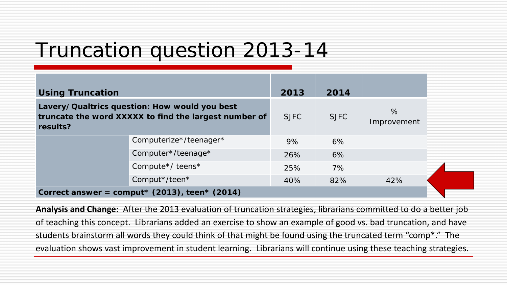## Truncation question 2013-14

| <b>Using Truncation</b>                                                                                            |                                           | 2013        | 2014        |                     |  |
|--------------------------------------------------------------------------------------------------------------------|-------------------------------------------|-------------|-------------|---------------------|--|
| Lavery/Qualtrics question: How would you best<br>truncate the word XXXXX to find the largest number of<br>results? |                                           | <b>SJFC</b> | <b>SJFC</b> | $\%$<br>Improvement |  |
|                                                                                                                    | Computerize*/teenager*                    | 9%          | 6%          |                     |  |
|                                                                                                                    | Computer*/teenage*                        | 26%         | 6%          |                     |  |
|                                                                                                                    | Compute <sup>*</sup> / teens <sup>*</sup> | 25%         | 7%          |                     |  |
|                                                                                                                    | Comput*/teen*                             | 40%         | 82%         | 42%                 |  |
| Correct answer = comput* $(2013)$ , teen* $(2014)$                                                                 |                                           |             |             |                     |  |

**Analysis and Change:** After the 2013 evaluation of truncation strategies, librarians committed to do a better job of teaching this concept. Librarians added an exercise to show an example of good vs. bad truncation, and have students brainstorm all words they could think of that might be found using the truncated term "comp\*." The evaluation shows vast improvement in student learning. Librarians will continue using these teaching strategies.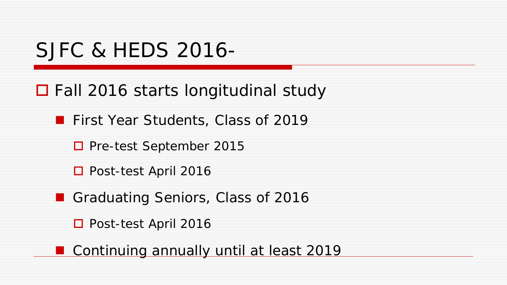### SJFC & HEDS 2016-

 $\Box$  Fall 2016 starts longitudinal study

**First Year Students, Class of 2019** 

□ Pre-test September 2015

□ Post-test April 2016

Graduating Seniors, Class of 2016

□ Post-test April 2016

**Continuing annually until at least 2019**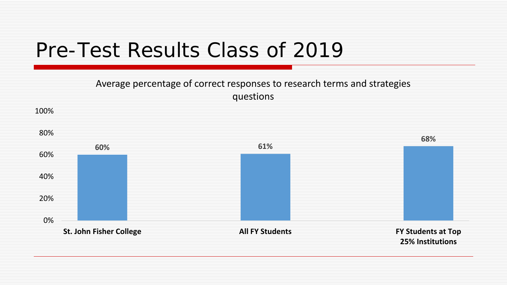## Pre-Test Results Class of 2019

#### Average percentage of correct responses to research terms and strategies questions

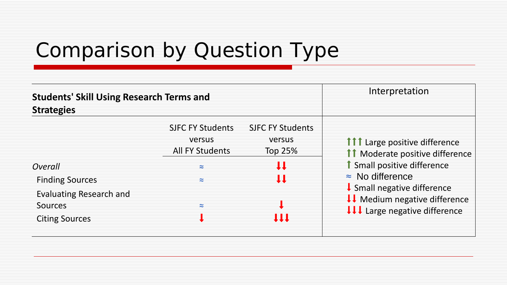# Comparison by Question Type

| <b>Students' Skill Using Research Terms and</b><br><b>Strategies</b>                                    | Interpretation                                                                             |                                                              |                                                                                                                                                                                                                                                             |
|---------------------------------------------------------------------------------------------------------|--------------------------------------------------------------------------------------------|--------------------------------------------------------------|-------------------------------------------------------------------------------------------------------------------------------------------------------------------------------------------------------------------------------------------------------------|
| Overall<br><b>Finding Sources</b><br><b>Evaluating Research and</b><br>Sources<br><b>Citing Sources</b> | <b>SJFC FY Students</b><br>versus<br><b>All FY Students</b><br>$\approx$<br>≈<br>$\approx$ | <b>SJFC FY Students</b><br>versus<br>Top 25%<br>u<br>IJ<br>Ш | <b>111</b> Large positive difference<br><b>11</b> Moderate positive difference<br><b>1</b> Small positive difference<br>$\approx$ No difference<br>$\downarrow$ Small negative difference<br>↓↓ Medium negative difference<br>↓↓↓ Large negative difference |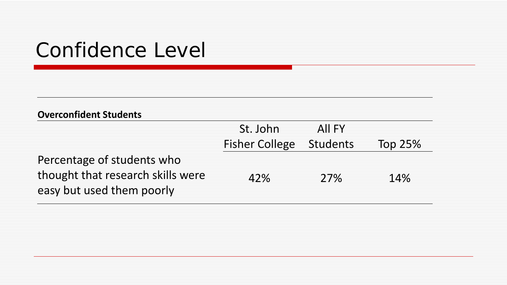### Confidence Level

#### **Overconfident Students**

|                                   | St. John                       | AII FY |                |
|-----------------------------------|--------------------------------|--------|----------------|
|                                   | <b>Fisher College Students</b> |        | <b>Top 25%</b> |
| Percentage of students who        |                                |        |                |
| thought that research skills were | 42%                            | 27%    | 14%            |
| easy but used them poorly         |                                |        |                |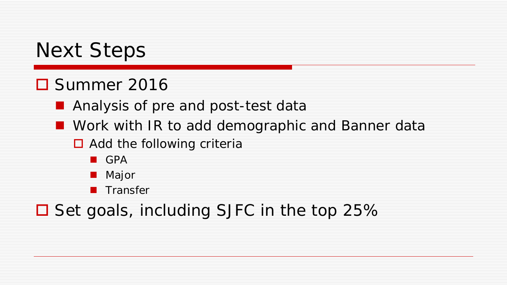## Next Steps

### **O** Summer 2016

**Analysis of pre and post-test data** 

- **Nork with IR to add demographic and Banner data** 
	- $\Box$  Add the following criteria
		- **GPA**
		- **Major**
		- **Transfer**

### $\Box$  Set goals, including SJFC in the top 25%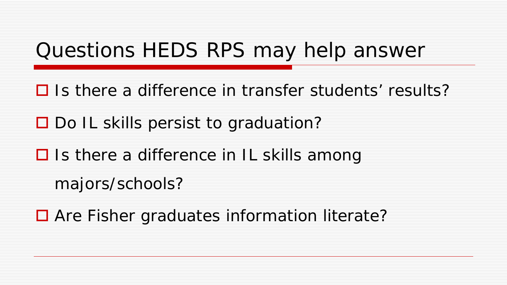## Questions HEDS RPS may help answer

 $\Box$  Is there a difference in transfer students' results?

 $\Box$  Do IL skills persist to graduation?

 $\Box$  Is there a difference in IL skills among

majors/schools?

**□** Are Fisher graduates information literate?